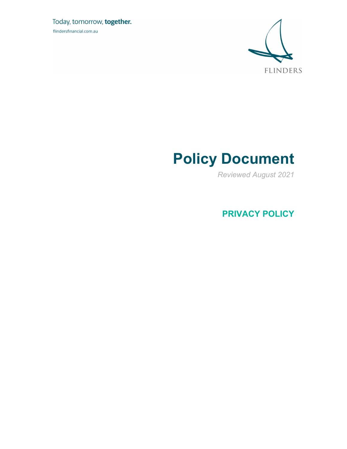Today, tomorrow, together. flindersfinancial.com.au



## **Policy Document**

*Reviewed August 2021* 

**PRIVACY POLICY**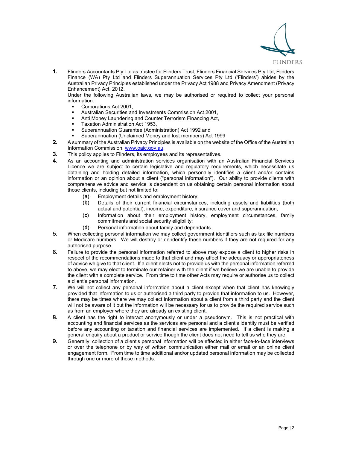

1. Flinders Accountants Pty Ltd as trustee for Flinders Trust, Flinders Financial Services Pty Ltd, Flinders Finance (WA) Pty Ltd and Flinders Superannuation Services Pty Ltd ('Flinders') abides by the Australian Privacy Principles established under the Privacy Act 1988 and Privacy Amendment (Privacy Enhancement) Act, 2012.

Under the following Australian laws, we may be authorised or required to collect your personal information:

- Corporations Act 2001,
- Australian Securities and Investments Commission Act 2001,
- Anti Money Laundering and Counter Terrorism Financing Act,
- Taxation Administration Act 1953,
- Superannuation Guarantee (Administration) Act 1992 and
- Superannuation (Unclaimed Money and lost members) Act 1999
- 2. A summary of the Australian Privacy Principles is available on the website of the Office of the Australian Information Commission, www.oaic.gov.au.
- 3. This policy applies to Flinders, its employees and its representatives.
- 4. As an accounting and administration services organisation with an Australian Financial Services Licence we are subject to certain legislative and regulatory requirements, which necessitate us obtaining and holding detailed information, which personally identifies a client and/or contains information or an opinion about a client ("personal information"). Our ability to provide clients with comprehensive advice and service is dependent on us obtaining certain personal information about those clients, including but not limited to:
	- (a) Employment details and employment history;
	- (b) Details of their current financial circumstances, including assets and liabilities (both actual and potential), income, expenditure, insurance cover and superannuation;
	- (c) Information about their employment history, employment circumstances, family commitments and social security eligibility;
	- (d) Personal information about family and dependants.
- 5. When collecting personal information we may collect government identifiers such as tax file numbers or Medicare numbers. We will destroy or de-identify these numbers if they are not required for any authorised purpose.
- 6. Failure to provide the personal information referred to above may expose a client to higher risks in respect of the recommendations made to that client and may affect the adequacy or appropriateness of advice we give to that client. If a client elects not to provide us with the personal information referred to above, we may elect to terminate our retainer with the client if we believe we are unable to provide the client with a complete service. From time to time other Acts may require or authorise us to collect a client's personal information.
- 7. We will not collect any personal information about a client except when that client has knowingly provided that information to us or authorised a third party to provide that information to us. However, there may be times where we may collect information about a client from a third party and the client will not be aware of it but the information will be necessary for us to provide the required service such as from an employer where they are already an existing client.
- 8. A client has the right to interact anonymously or under a pseudonym. This is not practical with accounting and financial services as the services are personal and a client's identity must be verified before any accounting or taxation and financial services are implemented. If a client is making a general enquiry about a product or service though the client does not need to tell us who they are.
- 9. Generally, collection of a client's personal information will be effected in either face-to-face interviews or over the telephone or by way of written communication either mail or email or an online client engagement form. From time to time additional and/or updated personal information may be collected through one or more of those methods.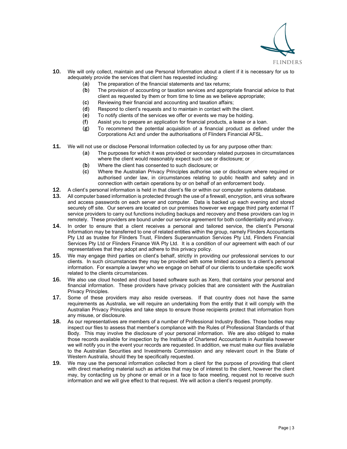

- 10. We will only collect, maintain and use Personal Information about a client if it is necessary for us to adequately provide the services that client has requested including:
	- (a) The preparation of the financial statements and tax returns;
	- (b) The provision of accounting or taxation services and appropriate financial advice to that client as requested by them or from time to time as we believe appropriate;
	- (c) Reviewing their financial and accounting and taxation affairs;
	- (d) Respond to client's requests and to maintain in contact with the client.
	- (e) To notify clients of the services we offer or events we may be holding.
	- (f) Assist you to prepare an application for financial products, a lease or a loan.
	- (g) To recommend the potential acquisition of a financial product as defined under the Corporations Act and under the authorisations of Flinders Financial AFSL.
- **11.** We will not use or disclose Personal Information collected by us for any purpose other than:
	- (a) The purposes for which it was provided or secondary related purposes in circumstances where the client would reasonably expect such use or disclosure; or
	- (b) Where the client has consented to such disclosure; or
	- (c) Where the Australian Privacy Principles authorise use or disclosure where required or authorised under law, in circumstances relating to public health and safety and in connection with certain operations by or on behalf of an enforcement body.
- 12. A client's personal information is held in that client's file or within our computer systems database.
- 13. All computer based information is protected through the use of a firewall, encryption, anti virus software and access passwords on each server and computer. Data is backed up each evening and stored securely off site. Our servers are located on our premises however we engage third party external IT service providers to carry out functions including backups and recovery and these providers can log in remotely. These providers are bound under our service agreement for both confidentiality and privacy.
- 14. In order to ensure that a client receives a personal and tailored service, the client's Personal Information may be transferred to one of related entities within the group, namely Flinders Accountants Pty Ltd as trustee for Flinders Trust, Flinders Superannuation Services Pty Ltd, Flinders Financial Services Pty Ltd or Flinders Finance WA Pty Ltd. It is a condition of our agreement with each of our representatives that they adopt and adhere to this privacy policy.
- 15. We may engage third parties on client's behalf, strictly in providing our professional services to our clients. In such circumstances they may be provided with some limited access to a client's personal information. For example a lawyer who we engage on behalf of our clients to undertake specific work related to the clients circumstances.
- **16.** We also use cloud hosted and cloud based software such as Xero, that contains your personal and financial information. These providers have privacy policies that are consistent with the Australian Privacy Principles.
- **17.** Some of these providers may also reside overseas. If that country does not have the same requirements as Australia, we will require an undertaking from the entity that it will comply with the Australian Privacy Principles and take steps to ensure those recipients protect that information from any misuse, or disclosure.
- **18.** As our representatives are members of a number of Professional Industry Bodies. Those bodies may inspect our files to assess that member's compliance with the Rules of Professional Standards of that Body. This may involve the disclosure of your personal information. We are also obliged to make those records available for inspection by the Institute of Chartered Accountants in Australia however we will notify you in the event your records are requested. In addition, we must make our files available to the Australian Securities and Investments Commission and any relevant court in the State of Western Australia, should they be specifically requested.
- 19. We may use the personal information collected from a client for the purpose of providing that client with direct marketing material such as articles that may be of interest to the client, however the client may, by contacting us by phone or email or in a face to face meeting, request not to receive such information and we will give effect to that request. We will action a client's request promptly.